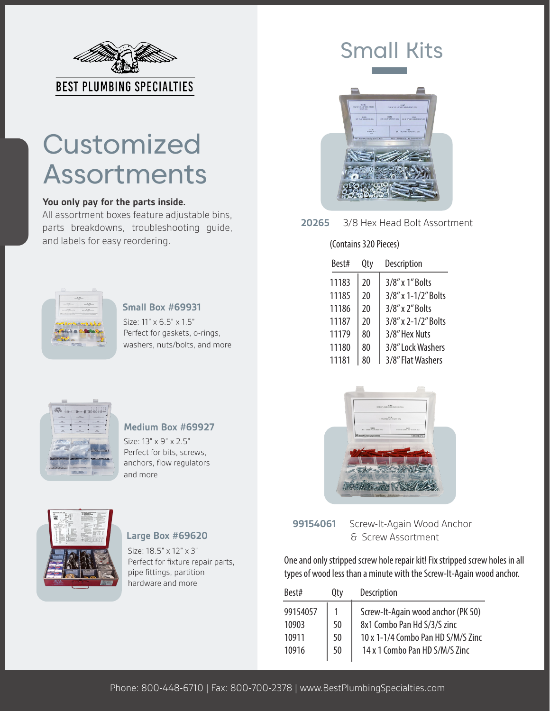

# **Customized** Assortments

#### **You only pay for the parts inside.**

All assortment boxes feature adjustable bins, parts breakdowns, troubleshooting guide, and labels for easy reordering.



#### **Small Box #69931**

Size: 11" x 6.5" x 1.5" Perfect for gaskets, o-rings, washers, nuts/bolts, and more



### **Medium Box #69927**

Size: 13" x 9" x 2.5" Perfect for bits, screws, anchors, flow regulators and more



## **Large Box #69620**

Size: 18.5" x 12" x 3" Perfect for fixture repair parts, pipe fittings, partition hardware and more

# Small Kits



**20265** 3/8 Hex Head Bolt Assortment

#### (Contains 320 Pieces)

| Best# | Qty | Description         |
|-------|-----|---------------------|
| 11183 | 20  | 3/8" x 1" Bolts     |
| 11185 | 20  | 3/8" x 1-1/2" Bolts |
| 11186 | 20  | 3/8" x 2" Bolts     |
| 11187 | 20  | 3/8" x 2-1/2" Bolts |
| 11179 | 80  | 3/8" Hex Nuts       |
| 11180 | 80  | 3/8" Lock Washers   |
| 11181 |     | 3/8" Flat Washers   |



**99154061** Screw-It-Again Wood Anchor & Screw Assortment

One and only stripped screw hole repair kit! Fix stripped screw holes in all types of wood less than a minute with the Screw-It-Again wood anchor.

| Best#    | Qty | Description                        |
|----------|-----|------------------------------------|
| 99154057 |     | Screw-It-Again wood anchor (PK 50) |
| 10903    | 50  | 8x1 Combo Pan Hd S/3/S zinc        |
| 10911    | 50  | 10 x 1-1/4 Combo Pan HD S/M/S Zinc |
| 10916    | 50  | 14 x 1 Combo Pan HD S/M/S Zinc     |